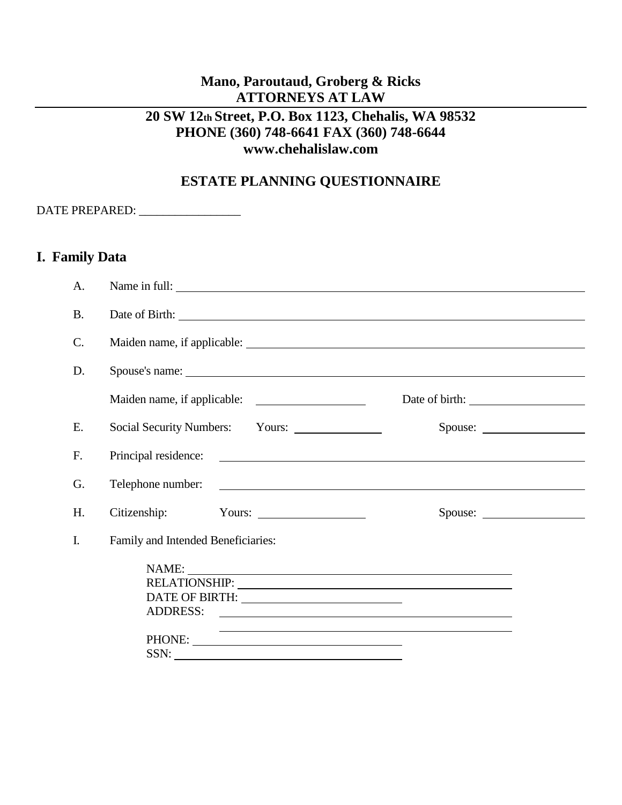# **Mano, Paroutaud, Groberg & Ricks ATTORNEYS AT LAW**

## **20 SW 12th Street, P.O. Box 1123, Chehalis, WA 98532 PHONE (360) 748-6641 FAX (360) 748-6644 www.chehalislaw.com**

## **ESTATE PLANNING QUESTIONNAIRE**

DATE PREPARED: \_\_\_\_\_\_\_\_\_\_\_\_\_\_\_\_\_

### **I. Family Data**

| A.        | Name in full:                      |         |  |
|-----------|------------------------------------|---------|--|
| <b>B.</b> |                                    |         |  |
| C.        |                                    |         |  |
| D.        | Spouse's name:                     |         |  |
|           |                                    |         |  |
| E.        |                                    | Spouse: |  |
| F.        |                                    |         |  |
| G.        |                                    |         |  |
| H.        |                                    | Spouse: |  |
| I.        | Family and Intended Beneficiaries: |         |  |
|           | NAME:                              |         |  |
|           | ADDRESS:                           |         |  |
|           |                                    |         |  |
|           | SSN:                               |         |  |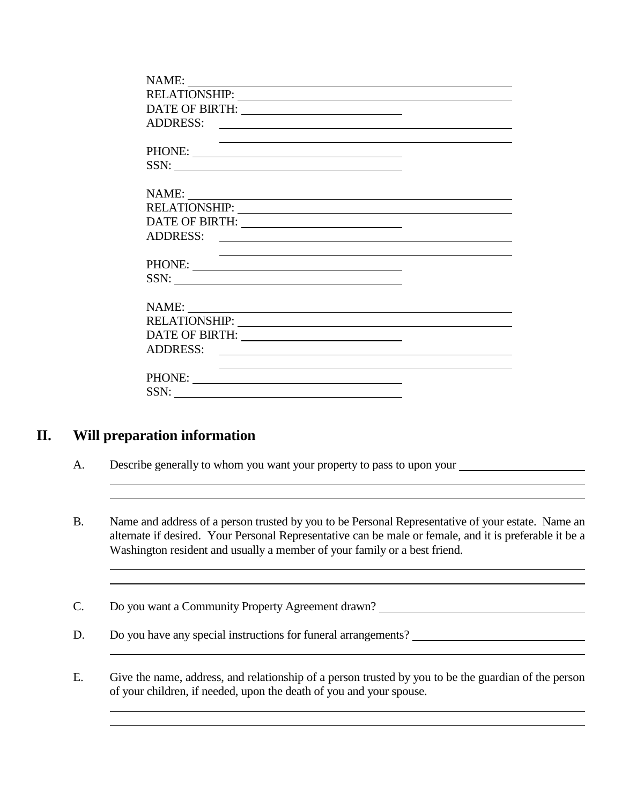| ADDRESS:                                                                                                                                                                                                                       |  |
|--------------------------------------------------------------------------------------------------------------------------------------------------------------------------------------------------------------------------------|--|
|                                                                                                                                                                                                                                |  |
| PHONE:                                                                                                                                                                                                                         |  |
| SSN:                                                                                                                                                                                                                           |  |
|                                                                                                                                                                                                                                |  |
|                                                                                                                                                                                                                                |  |
| RELATIONSHIP: University of the state of the state of the state of the state of the state of the state of the state of the state of the state of the state of the state of the state of the state of the state of the state of |  |
|                                                                                                                                                                                                                                |  |
|                                                                                                                                                                                                                                |  |
|                                                                                                                                                                                                                                |  |
|                                                                                                                                                                                                                                |  |
| SSN:                                                                                                                                                                                                                           |  |
|                                                                                                                                                                                                                                |  |
|                                                                                                                                                                                                                                |  |
|                                                                                                                                                                                                                                |  |
|                                                                                                                                                                                                                                |  |
|                                                                                                                                                                                                                                |  |
|                                                                                                                                                                                                                                |  |
| PHONE:                                                                                                                                                                                                                         |  |
| SSN:                                                                                                                                                                                                                           |  |

## **II. Will preparation information**

 $\overline{a}$ 

- A. Describe generally to whom you want your property to pass to upon your
- B. Name and address of a person trusted by you to be Personal Representative of your estate. Name an alternate if desired. Your Personal Representative can be male or female, and it is preferable it be a Washington resident and usually a member of your family or a best friend.

<u> 1989 - Johann Barn, amerikansk politiker (d. 1989)</u>

l

- C. Do you want a Community Property Agreement drawn?
- D. Do you have any special instructions for funeral arrangements?
- E. Give the name, address, and relationship of a person trusted by you to be the guardian of the person of your children, if needed, upon the death of you and your spouse.

<u> 1980 - Johann Barn, mars ann an t-Amhain Aonaich an t-Aonaich an t-Aonaich ann an t-Aonaich ann an t-Aonaich</u>